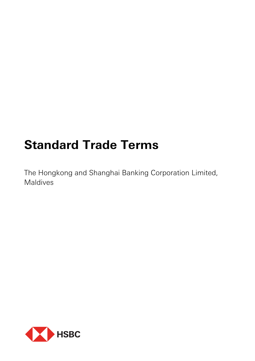# **Standard Trade Terms**

The Hongkong and Shanghai Banking Corporation Limited, Maldives

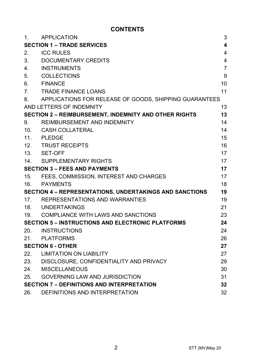# **CONTENTS**

| $\mathbf{1}$ .                       | <b>APPLICATION</b>                                             | 3                       |
|--------------------------------------|----------------------------------------------------------------|-------------------------|
|                                      | <b>SECTION 1 - TRADE SERVICES</b>                              | $\overline{\mathbf{4}}$ |
| 2.                                   | <b>ICC RULES</b>                                               | 4                       |
| 3.                                   | DOCUMENTARY CREDITS                                            | $\overline{\mathbf{4}}$ |
| 4.                                   | <b>INSTRUMENTS</b>                                             | $\overline{7}$          |
| 5.                                   | <b>COLLECTIONS</b>                                             | 9                       |
| 6.                                   | <b>FINANCE</b>                                                 | 10                      |
| 7 <sup>1</sup>                       | TRADE FINANCE LOANS                                            | 11                      |
| 8.                                   | APPLICATIONS FOR RELEASE OF GOODS, SHIPPING GUARANTEES         |                         |
|                                      | AND LETTERS OF INDEMNITY                                       | 13                      |
|                                      | <b>SECTION 2 - REIMBURSEMENT, INDEMNITY AND OTHER RIGHTS</b>   | 13                      |
| 9.                                   | REIMBURSEMENT AND INDEMNITY                                    | 14                      |
| 10.                                  | CASH COLLATERAL                                                | 14                      |
|                                      | 11. PLEDGE                                                     | 15                      |
|                                      | 12. TRUST RECEIPTS                                             | 16                      |
|                                      | 13. SET-OFF                                                    | 17                      |
|                                      | 14. SUPPLEMENTARY RIGHTS                                       | 17                      |
| <b>SECTION 3 - FEES AND PAYMENTS</b> |                                                                | 17                      |
| 15.                                  | FEES, COMMISSION, INTEREST AND CHARGES                         | 17                      |
| 16.                                  | PAYMENTS                                                       | 18                      |
|                                      | <b>SECTION 4 - REPRESENTATIONS, UNDERTAKINGS AND SANCTIONS</b> | 19                      |
|                                      | 17. REPRESENTATIONS AND WARRANTIES                             | 19                      |
|                                      | 18. UNDERTAKINGS                                               | 21                      |
|                                      | 19. COMPLIANCE WITH LAWS AND SANCTIONS                         | 23                      |
|                                      | <b>SECTION 5 - INSTRUCTIONS AND ELECTRONIC PLATFORMS</b>       | 24                      |
| 20.                                  | INSTRUCTIONS                                                   | 24                      |
|                                      | 21. PLATFORMS                                                  | 26                      |
|                                      | <b>SECTION 6 - OTHER</b>                                       | 27                      |
| 22.                                  | <b>LIMITATION ON LIABILITY</b>                                 | 27                      |
|                                      | 23. DISCLOSURE, CONFIDENTIALITY AND PRIVACY                    | 29                      |
| 24.                                  | MISCELLANEOUS                                                  | 30                      |
| 25.                                  | <b>GOVERNING LAW AND JURISDICTION</b>                          | 31                      |
|                                      | <b>SECTION 7 - DEFINITIONS AND INTERPRETATION</b>              | 32                      |
| 26.                                  | DEFINITIONS AND INTERPRETATION                                 | 32                      |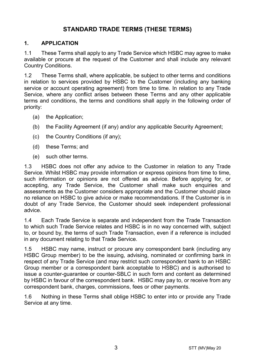# **STANDARD TRADE TERMS (THESE TERMS)**

## **1. APPLICATION**

1.1 These Terms shall apply to any Trade Service which HSBC may agree to make available or procure at the request of the Customer and shall include any relevant Country Conditions.

1.2 These Terms shall, where applicable, be subject to other terms and conditions in relation to services provided by HSBC to the Customer (including any banking service or account operating agreement) from time to time. In relation to any Trade Service, where any conflict arises between these Terms and any other applicable terms and conditions, the terms and conditions shall apply in the following order of priority:

- (a) the Application;
- (b) the Facility Agreement (if any) and/or any applicable Security Agreement;
- (c) the Country Conditions (if any);
- (d) these Terms; and
- (e) such other terms.

1.3 HSBC does not offer any advice to the Customer in relation to any Trade Service. Whilst HSBC may provide information or express opinions from time to time, such information or opinions are not offered as advice. Before applying for, or accepting, any Trade Service, the Customer shall make such enquiries and assessments as the Customer considers appropriate and the Customer should place no reliance on HSBC to give advice or make recommendations. If the Customer is in doubt of any Trade Service, the Customer should seek independent professional advice.

1.4 Each Trade Service is separate and independent from the Trade Transaction to which such Trade Service relates and HSBC is in no way concerned with, subject to, or bound by, the terms of such Trade Transaction, even if a reference is included in any document relating to that Trade Service.

1.5 HSBC may name, instruct or procure any correspondent bank (including any HSBC Group member) to be the issuing, advising, nominated or confirming bank in respect of any Trade Service (and may restrict such correspondent bank to an HSBC Group member or a correspondent bank acceptable to HSBC) and is authorised to issue a counter-guarantee or counter-SBLC in such form and content as determined by HSBC in favour of the correspondent bank. HSBC may pay to, or receive from any correspondent bank, charges, commissions, fees or other payments.

1.6 Nothing in these Terms shall oblige HSBC to enter into or provide any Trade Service at any time.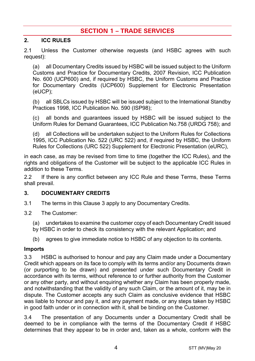# **SECTION 1 – TRADE SERVICES**

## **2. ICC RULES**

2.1 Unless the Customer otherwise requests (and HSBC agrees with such request):

(a) all Documentary Credits issued by HSBC will be issued subject to the Uniform Customs and Practice for Documentary Credits, 2007 Revision, ICC Publication No. 600 (UCP600) and, if required by HSBC, the Uniform Customs and Practice for Documentary Credits (UCP600) Supplement for Electronic Presentation (eUCP);

(b) all SBLCs issued by HSBC will be issued subject to the International Standby Practices 1998, ICC Publication No. 590 (ISP98);

(c) all bonds and guarantees issued by HSBC will be issued subject to the Uniform Rules for Demand Guarantees, ICC Publication No.758 (URDG 758); and

(d) all Collections will be undertaken subject to the Uniform Rules for Collections 1995, ICC Publication No. 522 (URC 522) and, if required by HSBC, the Uniform Rules for Collections (URC 522) Supplement for Electronic Presentation (eURC),

in each case, as may be revised from time to time (together the ICC Rules), and the rights and obligations of the Customer will be subject to the applicable ICC Rules in addition to these Terms.

2.2 If there is any conflict between any ICC Rule and these Terms, these Terms shall prevail.

#### **3. DOCUMENTARY CREDITS**

- 3.1 The terms in this Clause 3 apply to any Documentary Credits.
- 3.2 The Customer:

(a) undertakes to examine the customer copy of each Documentary Credit issued by HSBC in order to check its consistency with the relevant Application; and

(b) agrees to give immediate notice to HSBC of any objection to its contents.

#### **Imports**

3.3 HSBC is authorised to honour and pay any Claim made under a Documentary Credit which appears on its face to comply with its terms and/or any Documents drawn (or purporting to be drawn) and presented under such Documentary Credit in accordance with its terms, without reference to or further authority from the Customer or any other party, and without enquiring whether any Claim has been properly made, and notwithstanding that the validity of any such Claim, or the amount of it, may be in dispute. The Customer accepts any such Claim as conclusive evidence that HSBC was liable to honour and pay it, and any payment made, or any steps taken by HSBC in good faith under or in connection with it, shall be binding on the Customer.

3.4 The presentation of any Documents under a Documentary Credit shall be deemed to be in compliance with the terms of the Documentary Credit if HSBC determines that they appear to be in order and, taken as a whole, conform with the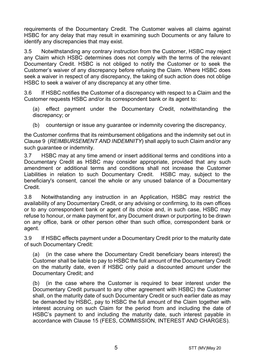requirements of the Documentary Credit. The Customer waives all claims against HSBC for any delay that may result in examining such Documents or any failure to identify any discrepancies that may exist.

3.5 Notwithstanding any contrary instruction from the Customer, HSBC may reject any Claim which HSBC determines does not comply with the terms of the relevant Documentary Credit. HSBC is not obliged to notify the Customer or to seek the Customer's waiver of any discrepancy before refusing the Claim. Where HSBC does seek a waiver in respect of any discrepancy, the taking of such action does not oblige HSBC to seek a waiver of any discrepancy at any other time.

3.6 If HSBC notifies the Customer of a discrepancy with respect to a Claim and the Customer requests HSBC and/or its correspondent bank or its agent to:

(a) effect payment under the Documentary Credit, notwithstanding the discrepancy; or

(b) countersign or issue any quarantee or indemnity covering the discrepancy,

the Customer confirms that its reimbursement obligations and the indemnity set out in Clause 9 (*REIMBURSEMENT AND INDEMNITY*) shall apply to such Claim and/or any such guarantee or indemnity.

3.7 HSBC may at any time amend or insert additional terms and conditions into a Documentary Credit as HSBC may consider appropriate, provided that any such amendment or additional terms and conditions shall not increase the Customer Liabilities in relation to such Documentary Credit. HSBC may, subject to the beneficiary's consent, cancel the whole or any unused balance of a Documentary Credit.

3.8 Notwithstanding any instruction in an Application, HSBC may restrict the availability of any Documentary Credit, or any advising or confirming, to its own offices or to any correspondent bank or agent of its choice and, in such case, HSBC may refuse to honour, or make payment for, any Document drawn or purporting to be drawn on any office, bank or other person other than such office, correspondent bank or agent.

3.9 If HSBC effects payment under a Documentary Credit prior to the maturity date of such Documentary Credit:

(a) (in the case where the Documentary Credit beneficiary bears interest) the Customer shall be liable to pay to HSBC the full amount of the Documentary Credit on the maturity date, even if HSBC only paid a discounted amount under the Documentary Credit; and

(b) (in the case where the Customer is required to bear interest under the Documentary Credit pursuant to any other agreement with HSBC) the Customer shall, on the maturity date of such Documentary Credit or such earlier date as may be demanded by HSBC, pay to HSBC the full amount of the Claim together with interest accruing on such Claim for the period from and including the date of HSBC's payment to and including the maturity date, such interest payable in accordance with Clause 15 (FEES, COMMISSION, INTEREST AND CHARGES).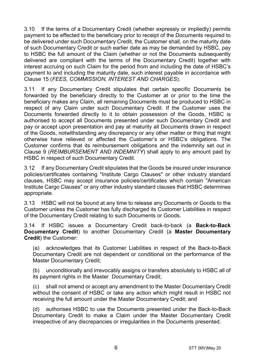3.10 If the terms of a Documentary Credit (whether expressly or impliedly) permits payment to be effected to the beneficiary prior to receipt of the Documents required to be delivered under such Documentary Credit, the Customer shall, on the maturity date of such Documentary Credit or such earlier date as may be demanded by HSBC, pay to HSBC the full amount of the Claim (whether or not the Documents subsequently delivered are compliant with the terms of the Documentary Credit) together with interest accruing on such Claim for the period from and including the date of HSBC's payment to and including the maturity date, such interest payable in accordance with Clause 15 (*FEES, COMMISSION, INTEREST AND CHARGES*).

3.11 If any Documentary Credit stipulates that certain specific Documents be forwarded by the beneficiary directly to the Customer at or prior to the time the beneficiary makes any Claim, all remaining Documents must be produced to HSBC in respect of any Claim under such Documentary Credit. If the Customer uses the Documents forwarded directly to it to obtain possession of the Goods, HSBC is authorised to accept all Documents presented under such Documentary Credit and pay or accept upon presentation and pay at maturity all Documents drawn in respect of the Goods, notwithstanding any discrepancy or any other matter or thing that might otherwise have relieved or affected the Customer's or HSBC's obligations. The Customer confirms that its reimbursement obligations and the indemnity set out in Clause 9 (*REIMBURSEMENT AND INDEMNITY*) shall apply to any amount paid by HSBC in respect of such Documentary Credit.

3.12 If any Documentary Credit stipulates that the Goods be insured under insurance policies/certificates containing "Institute Cargo Clauses" or other industry standard clauses, HSBC may accept insurance policies/certificates which contain "American Institute Cargo Clauses" or any other industry standard clauses that HSBC determines appropriate.

3.13 HSBC will not be bound at any time to release any Documents or Goods to the Customer unless the Customer has fully discharged its Customer Liabilities in respect of the Documentary Credit relating to such Documents or Goods.

3.14 If HSBC issues a Documentary Credit back-to-back (a **Back-to-Back Documentary Credit**) to another Documentary Credit (a **Master Documentary Credit**) the Customer:

(a) acknowledges that its Customer Liabilities in respect of the Back-to-Back Documentary Credit are not dependent or conditional on the performance of the Master Documentary Credit;

(b) unconditionally and irrevocably assigns or transfers absolutely to HSBC all of its payment rights in the Master Documentary Credit;

(c) shall not amend or accept any amendment to the Master Documentary Credit without the consent of HSBC or take any action which might result in HSBC not receiving the full amount under the Master Documentary Credit; and

(d) authorises HSBC to use the Documents presented under the Back-to-Back Documentary Credit to make a Claim under the Master Documentary Credit irrespective of any discrepancies or irregularities in the Documents presented.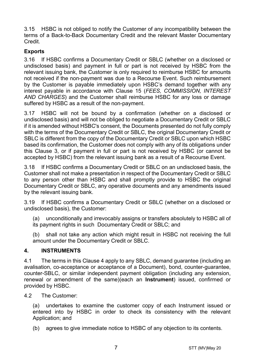3.15 HSBC is not obliged to notify the Customer of any incompatibility between the terms of a Back-to-Back Documentary Credit and the relevant Master Documentary Credit.

## **Exports**

3.16 If HSBC confirms a Documentary Credit or SBLC (whether on a disclosed or undisclosed basis) and payment in full or part is not received by HSBC from the relevant issuing bank, the Customer is only required to reimburse HSBC for amounts not received if the non-payment was due to a Recourse Event. Such reimbursement by the Customer is payable immediately upon HSBC's demand together with any interest payable in accordance with Clause 15 (*FEES, COMMISSION, INTEREST AND CHARGES*) and the Customer shall reimburse HSBC for any loss or damage suffered by HSBC as a result of the non-payment.

3.17 HSBC will not be bound by a confirmation (whether on a disclosed or undisclosed basis) and will not be obliged to negotiate a Documentary Credit or SBLC if it is amended without HSBC's consent, the Documents presented do not fully comply with the terms of the Documentary Credit or SBLC, the original Documentary Credit or SBLC is different from the copy of the Documentary Credit or SBLC upon which HSBC based its confirmation, the Customer does not comply with any of its obligations under this Clause 3, or if payment in full or part is not received by HSBC (or cannot be accepted by HSBC) from the relevant issuing bank as a result of a Recourse Event.

3.18 If HSBC confirms a Documentary Credit or SBLC on an undisclosed basis, the Customer shall not make a presentation in respect of the Documentary Credit or SBLC to any person other than HSBC and shall promptly provide to HSBC the original Documentary Credit or SBLC, any operative documents and any amendments issued by the relevant issuing bank.

3.19 If HSBC confirms a Documentary Credit or SBLC (whether on a disclosed or undisclosed basis), the Customer:

(a) unconditionally and irrevocably assigns or transfers absolutely to HSBC all of its payment rights in such Documentary Credit or SBLC; and

(b) shall not take any action which might result in HSBC not receiving the full amount under the Documentary Credit or SBLC.

## **4. INSTRUMENTS**

4.1 The terms in this Clause 4 apply to any SBLC, demand guarantee (including an avalisation, co-acceptance or acceptance of a Document), bond, counter-guarantee, counter-SBLC, or similar independent payment obligation (including any extension, renewal or amendment of the same)(each an **Instrument**) issued, confirmed or provided by HSBC.

4.2 The Customer:

(a) undertakes to examine the customer copy of each Instrument issued or entered into by HSBC in order to check its consistency with the relevant Application; and

(b) agrees to give immediate notice to HSBC of any objection to its contents.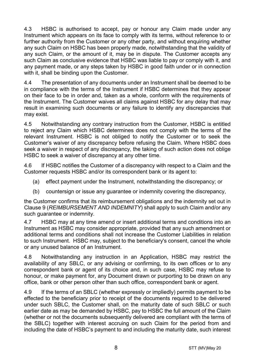4.3 HSBC is authorised to accept, pay or honour any Claim made under any Instrument which appears on its face to comply with its terms, without reference to or further authority from the Customer or any other party, and without enquiring whether any such Claim on HSBC has been properly made, notwithstanding that the validity of any such Claim, or the amount of it, may be in dispute. The Customer accepts any such Claim as conclusive evidence that HSBC was liable to pay or comply with it, and any payment made, or any steps taken by HSBC in good faith under or in connection with it, shall be binding upon the Customer.

4.4 The presentation of any documents under an Instrument shall be deemed to be in compliance with the terms of the Instrument if HSBC determines that they appear on their face to be in order and, taken as a whole, conform with the requirements of the Instrument. The Customer waives all claims against HSBC for any delay that may result in examining such documents or any failure to identify any discrepancies that may exist.

4.5 Notwithstanding any contrary instruction from the Customer, HSBC is entitled to reject any Claim which HSBC determines does not comply with the terms of the relevant Instrument. HSBC is not obliged to notify the Customer or to seek the Customer's waiver of any discrepancy before refusing the Claim. Where HSBC does seek a waiver in respect of any discrepancy, the taking of such action does not oblige HSBC to seek a waiver of discrepancy at any other time.

4.6 If HSBC notifies the Customer of a discrepancy with respect to a Claim and the Customer requests HSBC and/or its correspondent bank or its agent to:

- (a) effect payment under the Instrument, notwithstanding the discrepancy; or
- (b) countersign or issue any guarantee or indemnity covering the discrepancy,

the Customer confirms that its reimbursement obligations and the indemnity set out in Clause 9 (*REIMBURSEMENT AND INDEMNITY*) shall apply to such Claim and/or any such quarantee or indemnity.

4.7 HSBC may at any time amend or insert additional terms and conditions into an Instrument as HSBC may consider appropriate, provided that any such amendment or additional terms and conditions shall not increase the Customer Liabilities in relation to such Instrument. HSBC may, subject to the beneficiary's consent, cancel the whole or any unused balance of an Instrument.

4.8 Notwithstanding any instruction in an Application, HSBC may restrict the availability of any SBLC, or any advising or confirming, to its own offices or to any correspondent bank or agent of its choice and, in such case, HSBC may refuse to honour, or make payment for, any Document drawn or purporting to be drawn on any office, bank or other person other than such office, correspondent bank or agent.

4.9 If the terms of an SBLC (whether expressly or impliedly) permits payment to be effected to the beneficiary prior to receipt of the documents required to be delivered under such SBLC, the Customer shall, on the maturity date of such SBLC or such earlier date as may be demanded by HSBC, pay to HSBC the full amount of the Claim (whether or not the documents subsequently delivered are compliant with the terms of the SBLC) together with interest accruing on such Claim for the period from and including the date of HSBC's payment to and including the maturity date, such interest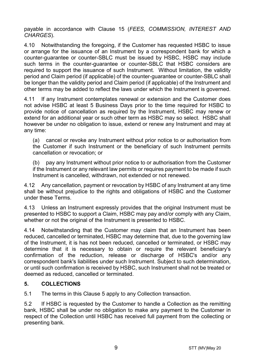payable in accordance with Clause 15 (*FEES, COMMISSION, INTEREST AND CHARGES*).

4.10 Notwithstanding the foregoing, if the Customer has requested HSBC to issue or arrange for the issuance of an Instrument by a correspondent bank for which a counter-guarantee or counter-SBLC must be issued by HSBC, HSBC may include such terms in the counter-guarantee or counter-SBLC that HSBC considers are required to support the issuance of such Instrument. Without limitation, the validity period and Claim period (if applicable) of the counter-guarantee or counter-SBLC shall be longer than the validity period and Claim period (if applicable) of the Instrument and other terms may be added to reflect the laws under which the Instrument is governed.

4.11 If any Instrument contemplates renewal or extension and the Customer does not advise HSBC at least 5 Business Days prior to the time required for HSBC to provide notice of cancellation as required by the Instrument, HSBC may renew or extend for an additional year or such other term as HSBC may so select. HSBC shall however be under no obligation to issue, extend or renew any Instrument and may at any time:

(a) cancel or revoke any Instrument without prior notice to or authorisation from the Customer if such Instrument or the beneficiary of such Instrument permits cancellation or revocation; or

(b) pay any Instrument without prior notice to or authorisation from the Customer if the Instrument or any relevant law permits or requires payment to be made if such Instrument is cancelled, withdrawn, not extended or not renewed.

4.12 Any cancellation, payment or revocation by HSBC of any Instrument at any time shall be without prejudice to the rights and obligations of HSBC and the Customer under these Terms.

4.13 Unless an Instrument expressly provides that the original Instrument must be presented to HSBC to support a Claim, HSBC may pay and/or comply with any Claim, whether or not the original of the Instrument is presented to HSBC.

4.14 Notwithstanding that the Customer may claim that an Instrument has been reduced, cancelled or terminated, HSBC may determine that, due to the governing law of the Instrument, it is has not been reduced, cancelled or terminated, or HSBC may determine that it is necessary to obtain or require the relevant beneficiary's confirmation of the reduction, release or discharge of HSBC's and/or any correspondent bank's liabilities under such Instrument. Subject to such determination, or until such confirmation is received by HSBC, such Instrument shall not be treated or deemed as reduced, cancelled or terminated.

## **5. COLLECTIONS**

5.1 The terms in this Clause 5 apply to any Collection transaction.

5.2 If HSBC is requested by the Customer to handle a Collection as the remitting bank, HSBC shall be under no obligation to make any payment to the Customer in respect of the Collection until HSBC has received full payment from the collecting or presenting bank.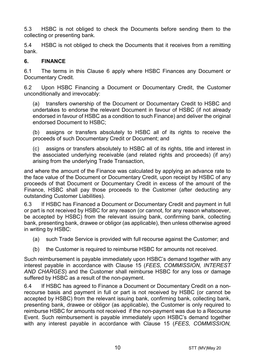5.3 HSBC is not obliged to check the Documents before sending them to the collecting or presenting bank.

5.4 HSBC is not obliged to check the Documents that it receives from a remitting bank.

## **6. FINANCE**

6.1 The terms in this Clause 6 apply where HSBC Finances any Document or Documentary Credit.

6.2 Upon HSBC Financing a Document or Documentary Credit, the Customer unconditionally and irrevocably:

(a) transfers ownership of the Document or Documentary Credit to HSBC and undertakes to endorse the relevant Document in favour of HSBC (if not already endorsed in favour of HSBC as a condition to such Finance) and deliver the original endorsed Document to HSBC;

(b) assigns or transfers absolutely to HSBC all of its rights to receive the proceeds of such Documentary Credit or Document; and

(c) assigns or transfers absolutely to HSBC all of its rights, title and interest in the associated underlying receivable (and related rights and proceeds) (if any) arising from the underlying Trade Transaction,

and where the amount of the Finance was calculated by applying an advance rate to the face value of the Document or Documentary Credit, upon receipt by HSBC of any proceeds of that Document or Documentary Credit in excess of the amount of the Finance, HSBC shall pay those proceeds to the Customer (after deducting any outstanding Customer Liabilities).

6.3 If HSBC has Financed a Document or Documentary Credit and payment in full or part is not received by HSBC for any reason (or cannot, for any reason whatsoever, be accepted by HSBC) from the relevant issuing bank, confirming bank, collecting bank, presenting bank, drawee or obligor (as applicable), then unless otherwise agreed in writing by HSBC:

- (a) such Trade Service is provided with full recourse against the Customer; and
- (b) the Customer is required to reimburse HSBC for amounts not received.

Such reimbursement is payable immediately upon HSBC's demand together with any interest payable in accordance with Clause 15 (*FEES, COMMISSION, INTEREST AND CHARGES*) and the Customer shall reimburse HSBC for any loss or damage suffered by HSBC as a result of the non-payment.

6.4 If HSBC has agreed to Finance a Document or Documentary Credit on a nonrecourse basis and payment in full or part is not received by HSBC (or cannot be accepted by HSBC) from the relevant issuing bank, confirming bank, collecting bank, presenting bank, drawee or obligor (as applicable), the Customer is only required to reimburse HSBC for amounts not received if the non-payment was due to a Recourse Event. Such reimbursement is payable immediately upon HSBC's demand together with any interest payable in accordance with Clause 15 (*FEES, COMMISSION,*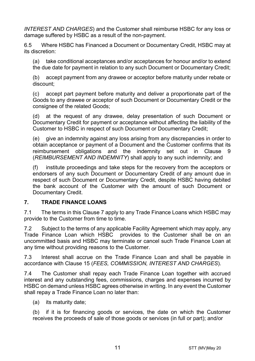*INTEREST AND CHARGES*) and the Customer shall reimburse HSBC for any loss or damage suffered by HSBC as a result of the non-payment.

6.5 Where HSBC has Financed a Document or Documentary Credit, HSBC may at its discretion:

(a) take conditional acceptances and/or acceptances for honour and/or to extend the due date for payment in relation to any such Document or Documentary Credit;

(b) accept payment from any drawee or acceptor before maturity under rebate or discount;

(c) accept part payment before maturity and deliver a proportionate part of the Goods to any drawee or acceptor of such Document or Documentary Credit or the consignee of the related Goods;

(d) at the request of any drawee, delay presentation of such Document or Documentary Credit for payment or acceptance without affecting the liability of the Customer to HSBC in respect of such Document or Documentary Credit;

(e) give an indemnity against any loss arising from any discrepancies in order to obtain acceptance or payment of a Document and the Customer confirms that its reimbursement obligations and the indemnity set out in Clause 9 (*REIMBURSEMENT AND INDEMNITY*) shall apply to any such indemnity; and

(f) institute proceedings and take steps for the recovery from the acceptors or endorsers of any such Document or Documentary Credit of any amount due in respect of such Document or Documentary Credit, despite HSBC having debited the bank account of the Customer with the amount of such Document or Documentary Credit.

## **7. TRADE FINANCE LOANS**

7.1 The terms in this Clause 7 apply to any Trade Finance Loans which HSBC may provide to the Customer from time to time.

7.2 Subject to the terms of any applicable Facility Agreement which may apply, any Trade Finance Loan which HSBC provides to the Customer shall be on an uncommitted basis and HSBC may terminate or cancel such Trade Finance Loan at any time without providing reasons to the Customer.

7.3 Interest shall accrue on the Trade Finance Loan and shall be payable in accordance with Clause 15 (*FEES, COMMISSION, INTEREST AND CHARGES*).

7.4 The Customer shall repay each Trade Finance Loan together with accrued interest and any outstanding fees, commissions, charges and expenses incurred by HSBC on demand unless HSBC agrees otherwise in writing. In any event the Customer shall repay a Trade Finance Loan no later than:

(a) its maturity date;

(b) if it is for financing goods or services, the date on which the Customer receives the proceeds of sale of those goods or services (in full or part); and/or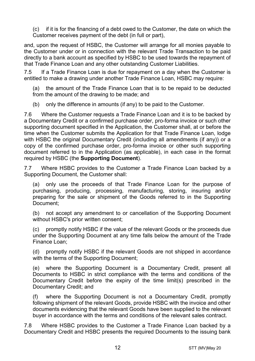(c) if it is for the financing of a debt owed to the Customer, the date on which the Customer receives payment of the debt (in full or part),

and, upon the request of HSBC, the Customer will arrange for all monies payable to the Customer under or in connection with the relevant Trade Transaction to be paid directly to a bank account as specified by HSBC to be used towards the repayment of that Trade Finance Loan and any other outstanding Customer Liabilities.

7.5 If a Trade Finance Loan is due for repayment on a day when the Customer is entitled to make a drawing under another Trade Finance Loan, HSBC may require:

(a) the amount of the Trade Finance Loan that is to be repaid to be deducted from the amount of the drawing to be made; and

(b) only the difference in amounts (if any) to be paid to the Customer.

7.6 Where the Customer requests a Trade Finance Loan and it is to be backed by a Documentary Credit or a confirmed purchase order, pro-forma invoice or such other supporting document specified in the Application, the Customer shall, at or before the time when the Customer submits the Application for that Trade Finance Loan, lodge with HSBC the original Documentary Credit (including all amendments (if any)) or a copy of the confirmed purchase order, pro-forma invoice or other such supporting document referred to in the Application (as applicable), in each case in the format required by HSBC (the **Supporting Document**).

7.7 Where HSBC provides to the Customer a Trade Finance Loan backed by a Supporting Document, the Customer shall:

(a) only use the proceeds of that Trade Finance Loan for the purpose of purchasing, producing, processing, manufacturing, storing, insuring and/or preparing for the sale or shipment of the Goods referred to in the Supporting Document;

(b) not accept any amendment to or cancellation of the Supporting Document without HSBC's prior written consent;

(c) promptly notify HSBC if the value of the relevant Goods or the proceeds due under the Supporting Document at any time falls below the amount of the Trade Finance Loan;

(d) promptly notify HSBC if the relevant Goods are not shipped in accordance with the terms of the Supporting Document;

(e) where the Supporting Document is a Documentary Credit, present all Documents to HSBC in strict compliance with the terms and conditions of the Documentary Credit before the expiry of the time limit(s) prescribed in the Documentary Credit; and

(f) where the Supporting Document is not a Documentary Credit, promptly following shipment of the relevant Goods, provide HSBC with the invoice and other documents evidencing that the relevant Goods have been supplied to the relevant buyer in accordance with the terms and conditions of the relevant sales contract.

7.8 Where HSBC provides to the Customer a Trade Finance Loan backed by a Documentary Credit and HSBC presents the required Documents to the issuing bank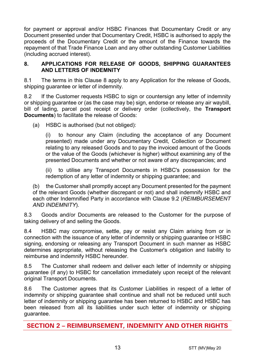for payment or approval and/or HSBC Finances that Documentary Credit or any Document presented under that Documentary Credit, HSBC is authorised to apply the proceeds of the Documentary Credit or the amount of the Finance towards the repayment of that Trade Finance Loan and any other outstanding Customer Liabilities (including accrued interest).

## **8. APPLICATIONS FOR RELEASE OF GOODS, SHIPPING GUARANTEES AND LETTERS OF INDEMNITY**

8.1 The terms in this Clause 8 apply to any Application for the release of Goods, shipping guarantee or letter of indemnity.

8.2 If the Customer requests HSBC to sign or countersign any letter of indemnity or shipping guarantee or (as the case may be) sign, endorse or release any air waybill, bill of lading, parcel post receipt or delivery order (collectively, the **Transport Documents**) to facilitate the release of Goods:

(a) HSBC is authorised (but not obliged):

(i) to honour any Claim (including the acceptance of any Document presented) made under any Documentary Credit, Collection or Document relating to any released Goods and to pay the invoiced amount of the Goods or the value of the Goods (whichever is higher) without examining any of the presented Documents and whether or not aware of any discrepancies; and

(ii) to utilise any Transport Documents in HSBC's possession for the redemption of any letter of indemnity or shipping guarantee; and

(b) the Customer shall promptly accept any Document presented for the payment of the relevant Goods (whether discrepant or not) and shall indemnify HSBC and each other Indemnified Party in accordance with Clause 9.2 (*REIMBURSEMENT AND INDEMNITY*).

8.3 Goods and/or Documents are released to the Customer for the purpose of taking delivery of and selling the Goods.

8.4 HSBC may compromise, settle, pay or resist any Claim arising from or in connection with the issuance of any letter of indemnity or shipping guarantee or HSBC signing, endorsing or releasing any Transport Document in such manner as HSBC determines appropriate, without releasing the Customer's obligation and liability to reimburse and indemnify HSBC hereunder.

8.5 The Customer shall redeem and deliver each letter of indemnity or shipping guarantee (if any) to HSBC for cancellation immediately upon receipt of the relevant original Transport Documents.

8.6 The Customer agrees that its Customer Liabilities in respect of a letter of indemnity or shipping guarantee shall continue and shall not be reduced until such letter of indemnity or shipping guarantee has been returned to HSBC and HSBC has been released from all its liabilities under such letter of indemnity or shipping guarantee.

**SECTION 2 – REIMBURSEMENT, INDEMNITY AND OTHER RIGHTS**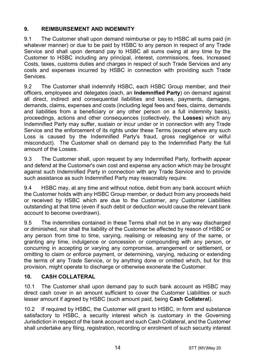# **9. REIMBURSEMENT AND INDEMNITY**

9.1 The Customer shall upon demand reimburse or pay to HSBC all sums paid (in whatever manner) or due to be paid by HSBC to any person in respect of any Trade Service and shall upon demand pay to HSBC all sums owing at any time by the Customer to HSBC including any principal, interest, commissions, fees, Increased Costs, taxes, customs duties and charges in respect of such Trade Services and any costs and expenses incurred by HSBC in connection with providing such Trade Services.

9.2 The Customer shall indemnify HSBC, each HSBC Group member, and their officers, employees and delegates (each, an **Indemnified Party**) on demand against all direct, indirect and consequential liabilities and losses, payments, damages, demands, claims, expenses and costs (including legal fees and fees, claims, demands and liabilities from a beneficiary or any other person on a full indemnity basis), proceedings, actions and other consequences (collectively, the **Losses**) which any Indemnified Party may suffer, sustain or incur under or in connection with any Trade Service and the enforcement of its rights under these Terms (except where any such Loss is caused by the Indemnified Party's fraud, gross negligence or wilful misconduct). The Customer shall on demand pay to the Indemnified Party the full amount of the Losses.

9.3 The Customer shall, upon request by any Indemnified Party, forthwith appear and defend at the Customer's own cost and expense any action which may be brought against such Indemnified Party in connection with any Trade Service and to provide such assistance as such Indemnified Party may reasonably require.

9.4 HSBC may, at any time and without notice, debit from any bank account which the Customer holds with any HSBC Group member, or deduct from any proceeds held or received by HSBC which are due to the Customer, any Customer Liabilities outstanding at that time (even if such debit or deduction would cause the relevant bank account to become overdrawn).

9.5 The indemnities contained in these Terms shall not be in any way discharged or diminished, nor shall the liability of the Customer be affected by reason of HSBC or any person from time to time, varying, realising or releasing any of the same, or granting any time, indulgence or concession or compounding with any person, or concurring in accepting or varying any compromise, arrangement or settlement, or omitting to claim or enforce payment, or determining, varying, reducing or extending the terms of any Trade Service, or by anything done or omitted which, but for this provision, might operate to discharge or otherwise exonerate the Customer.

## **10. CASH COLLATERAL**

10.1 The Customer shall upon demand pay to such bank account as HSBC may direct cash cover in an amount sufficient to cover the Customer Liabilities or such lesser amount if agreed by HSBC (such amount paid, being **Cash Collateral**).

10.2 If required by HSBC, the Customer will grant to HSBC, in form and substance satisfactory to HSBC, a security interest which is customary in the Governing Jurisdiction in respect of the bank account and such Cash Collateral, and the Customer shall undertake any filing, registration, recording or enrolment of such security interest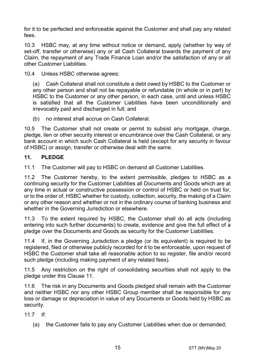for it to be perfected and enforceable against the Customer and shall pay any related fees.

10.3 HSBC may, at any time without notice or demand, apply (whether by way of set-off, transfer or otherwise) any or all Cash Collateral towards the payment of any Claim, the repayment of any Trade Finance Loan and/or the satisfaction of any or all other Customer Liabilities.

10.4 Unless HSBC otherwise agrees:

(a) Cash Collateral shall not constitute a debt owed by HSBC to the Customer or any other person and shall not be repayable or refundable (in whole or in part) by HSBC to the Customer or any other person, in each case, until and unless HSBC is satisfied that all the Customer Liabilities have been unconditionally and irrevocably paid and discharged in full; and

(b) no interest shall accrue on Cash Collateral.

10.5 The Customer shall not create or permit to subsist any mortgage, charge, pledge, lien or other security interest or encumbrance over the Cash Collateral, or any bank account in which such Cash Collateral is held (except for any security in favour of HSBC) or assign, transfer or otherwise deal with the same.

## **11. PLEDGE**

11.1 The Customer will pay to HSBC on demand all Customer Liabilities.

11.2 The Customer hereby, to the extent permissible, pledges to HSBC as a continuing security for the Customer Liabilities all Documents and Goods which are at any time in actual or constructive possession or control of HSBC or held on trust for, or to the order of, HSBC whether for custody, collection, security, the making of a Claim or any other reason and whether or not in the ordinary course of banking business and whether in the Governing Jurisdiction or elsewhere.

11.3 To the extent required by HSBC, the Customer shall do all acts (including entering into such further documents) to create, evidence and give the full effect of a pledge over the Documents and Goods as security for the Customer Liabilities.

11.4 If, in the Governing Jurisdiction a pledge (or its equivalent) is required to be registered, filed or otherwise publicly recorded for it to be enforceable, upon request of HSBC the Customer shall take all reasonable action to so register, file and/or record such pledge (including making payment of any related fees).

11.5 Any restriction on the right of consolidating securities shall not apply to the pledge under this Clause 11.

11.6 The risk in any Documents and Goods pledged shall remain with the Customer and neither HSBC nor any other HSBC Group member shall be responsible for any loss or damage or depreciation in value of any Documents or Goods held by HSBC as security.

11.7 If:

(a) the Customer fails to pay any Customer Liabilities when due or demanded;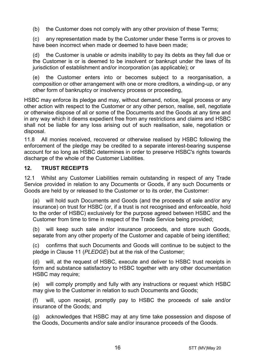(b) the Customer does not comply with any other provision of these Terms;

(c) any representation made by the Customer under these Terms is or proves to have been incorrect when made or deemed to have been made;

(d) the Customer is unable or admits inability to pay its debts as they fall due or the Customer is or is deemed to be insolvent or bankrupt under the laws of its jurisdiction of establishment and/or incorporation (as applicable); or

(e) the Customer enters into or becomes subject to a reorganisation, a composition or other arrangement with one or more creditors, a winding-up, or any other form of bankruptcy or insolvency process or proceeding,

HSBC may enforce its pledge and may, without demand, notice, legal process or any other action with respect to the Customer or any other person, realise, sell, negotiate or otherwise dispose of all or some of the Documents and the Goods at any time and in any way which it deems expedient free from any restrictions and claims and HSBC shall not be liable for any loss arising out of such realisation, sale, negotiation or disposal.

11.8 All monies received, recovered or otherwise realised by HSBC following the enforcement of the pledge may be credited to a separate interest-bearing suspense account for so long as HSBC determines in order to preserve HSBC's rights towards discharge of the whole of the Customer Liabilities.

## **12. TRUST RECEIPTS**

12.1 Whilst any Customer Liabilities remain outstanding in respect of any Trade Service provided in relation to any Documents or Goods, if any such Documents or Goods are held by or released to the Customer or to its order, the Customer:

(a) will hold such Documents and Goods (and the proceeds of sale and/or any insurance) on trust for HSBC (or, if a trust is not recognised and enforceable, hold to the order of HSBC) exclusively for the purpose agreed between HSBC and the Customer from time to time in respect of the Trade Service being provided;

(b) will keep such sale and/or insurance proceeds, and store such Goods, separate from any other property of the Customer and capable of being identified;

(c) confirms that such Documents and Goods will continue to be subject to the pledge in Clause 11 (*PLEDGE*) but at the risk of the Customer;

(d) will, at the request of HSBC, execute and deliver to HSBC trust receipts in form and substance satisfactory to HSBC together with any other documentation HSBC may require;

(e) will comply promptly and fully with any instructions or request which HSBC may give to the Customer in relation to such Documents and Goods;

(f) will, upon receipt, promptly pay to HSBC the proceeds of sale and/or insurance of the Goods; and

(g) acknowledges that HSBC may at any time take possession and dispose of the Goods, Documents and/or sale and/or insurance proceeds of the Goods.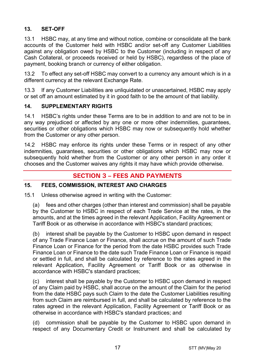# **13. SET-OFF**

13.1 HSBC may, at any time and without notice, combine or consolidate all the bank accounts of the Customer held with HSBC and/or set-off any Customer Liabilities against any obligation owed by HSBC to the Customer (including in respect of any Cash Collateral, or proceeds received or held by HSBC), regardless of the place of payment, booking branch or currency of either obligation.

13.2 To effect any set-off HSBC may convert to a currency any amount which is in a different currency at the relevant Exchange Rate.

13.3 If any Customer Liabilities are unliquidated or unascertained, HSBC may apply or set off an amount estimated by it in good faith to be the amount of that liability.

## **14. SUPPLEMENTARY RIGHTS**

14.1 HSBC's rights under these Terms are to be in addition to and are not to be in any way prejudiced or affected by any one or more other indemnities, guarantees, securities or other obligations which HSBC may now or subsequently hold whether from the Customer or any other person.

14.2 HSBC may enforce its rights under these Terms or in respect of any other indemnities, guarantees, securities or other obligations which HSBC may now or subsequently hold whether from the Customer or any other person in any order it chooses and the Customer waives any rights it may have which provide otherwise.

# **SECTION 3 – FEES AND PAYMENTS**

## **15. FEES, COMMISSION, INTEREST AND CHARGES**

15.1 Unless otherwise agreed in writing with the Customer:

(a) fees and other charges (other than interest and commission) shall be payable by the Customer to HSBC in respect of each Trade Service at the rates, in the amounts, and at the times agreed in the relevant Application, Facility Agreement or Tariff Book or as otherwise in accordance with HSBC's standard practices;

(b) interest shall be payable by the Customer to HSBC upon demand in respect of any Trade Finance Loan or Finance, shall accrue on the amount of such Trade Finance Loan or Finance for the period from the date HSBC provides such Trade Finance Loan or Finance to the date such Trade Finance Loan or Finance is repaid or settled in full, and shall be calculated by reference to the rates agreed in the relevant Application, Facility Agreement or Tariff Book or as otherwise in accordance with HSBC's standard practices;

(c) interest shall be payable by the Customer to HSBC upon demand in respect of any Claim paid by HSBC, shall accrue on the amount of the Claim for the period from the date HSBC pays such Claim to the date the Customer Liabilities resulting from such Claim are reimbursed in full, and shall be calculated by reference to the rates agreed in the relevant Application, Facility Agreement or Tariff Book or as otherwise in accordance with HSBC's standard practices; and

(d) commission shall be payable by the Customer to HSBC upon demand in respect of any Documentary Credit or Instrument and shall be calculated by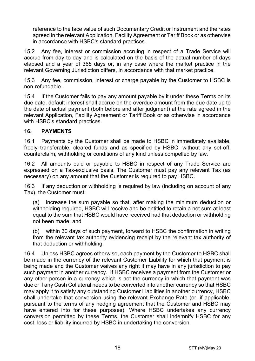reference to the face value of such Documentary Credit or Instrument and the rates agreed in the relevant Application, Facility Agreement or Tariff Book or as otherwise in accordance with HSBC's standard practices.

15.2 Any fee, interest or commission accruing in respect of a Trade Service will accrue from day to day and is calculated on the basis of the actual number of days elapsed and a year of 365 days or, in any case where the market practice in the relevant Governing Jurisdiction differs, in accordance with that market practice.

15.3 Any fee, commission, interest or charge payable by the Customer to HSBC is non-refundable.

15.4 If the Customer fails to pay any amount payable by it under these Terms on its due date, default interest shall accrue on the overdue amount from the due date up to the date of actual payment (both before and after judgment) at the rate agreed in the relevant Application, Facility Agreement or Tariff Book or as otherwise in accordance with HSBC's standard practices.

## **16. PAYMENTS**

16.1 Payments by the Customer shall be made to HSBC in immediately available, freely transferable, cleared funds and as specified by HSBC, without any set-off, counterclaim, withholding or conditions of any kind unless compelled by law.

16.2 All amounts paid or payable to HSBC in respect of any Trade Service are expressed on a Tax-exclusive basis. The Customer must pay any relevant Tax (as necessary) on any amount that the Customer is required to pay HSBC.

16.3 If any deduction or withholding is required by law (including on account of any Tax), the Customer must:

(a) increase the sum payable so that, after making the minimum deduction or withholding required, HSBC will receive and be entitled to retain a net sum at least equal to the sum that HSBC would have received had that deduction or withholding not been made; and

(b) within 30 days of such payment, forward to HSBC the confirmation in writing from the relevant tax authority evidencing receipt by the relevant tax authority of that deduction or withholding.

16.4 Unless HSBC agrees otherwise, each payment by the Customer to HSBC shall be made in the currency of the relevant Customer Liability for which that payment is being made and the Customer waives any right it may have in any jurisdiction to pay such payment in another currency. If HSBC receives a payment from the Customer or any other person in a currency which is not the currency in which that payment was due or if any Cash Collateral needs to be converted into another currency so that HSBC may apply it to satisfy any outstanding Customer Liabilities in another currency, HSBC shall undertake that conversion using the relevant Exchange Rate (or, if applicable, pursuant to the terms of any hedging agreement that the Customer and HSBC may have entered into for these purposes). Where HSBC undertakes any currency conversion permitted by these Terms, the Customer shall indemnify HSBC for any cost, loss or liability incurred by HSBC in undertaking the conversion.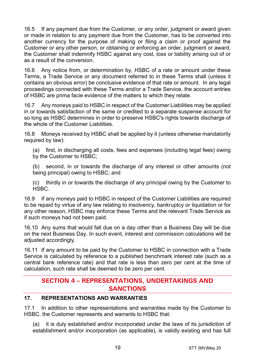16.5 If any payment due from the Customer, or any order, judgment or award given or made in relation to any payment due from the Customer, has to be converted into another currency for the purpose of making or filing a claim or proof against the Customer or any other person, or obtaining or enforcing an order, judgment or award, the Customer shall indemnify HSBC against any cost, loss or liability arising out of or as a result of the conversion.

16.6 Any notice from, or determination by, HSBC of a rate or amount under these Terms, a Trade Service or any document referred to in these Terms shall (unless it contains an obvious error) be conclusive evidence of that rate or amount. In any legal proceedings connected with these Terms and/or a Trade Service, the account entries of HSBC are prima facie evidence of the matters to which they relate.

16.7 Any moneys paid to HSBC in respect of the Customer Liabilities may be applied in or towards satisfaction of the same or credited to a separate suspense account for so long as HSBC determines in order to preserve HSBC's rights towards discharge of the whole of the Customer Liabilities.

16.8 Moneys received by HSBC shall be applied by it (unless otherwise mandatorily required by law):

(a) first, in discharging all costs, fees and expenses (including legal fees) owing by the Customer to HSBC;

(b) second, in or towards the discharge of any interest or other amounts (not being principal) owing to HSBC; and

(c) thirdly in or towards the discharge of any principal owing by the Customer to HSBC.

16.9 If any moneys paid to HSBC in respect of the Customer Liabilities are required to be repaid by virtue of any law relating to insolvency, bankruptcy or liquidation or for any other reason, HSBC may enforce these Terms and the relevant Trade Service as if such moneys had not been paid.

16.10 Any sums that would fall due on a day other than a Business Day will be due on the next Business Day. In such event, interest and commission calculations will be adjusted accordingly.

16.11 If any amount to be paid by the Customer to HSBC in connection with a Trade Service is calculated by reference to a published benchmark interest rate (such as a central bank reference rate) and that rate is less than zero per cent at the time of calculation, such rate shall be deemed to be zero per cent.

# **SECTION 4 – REPRESENTATIONS, UNDERTAKINGS AND SANCTIONS**

# **17. REPRESENTATIONS AND WARRANTIES**

17.1 In addition to other representations and warranties made by the Customer to HSBC, the Customer represents and warrants to HSBC that:

(a) it is duly established and/or incorporated under the laws of its jurisdiction of establishment and/or incorporation (as applicable), is validly existing and has full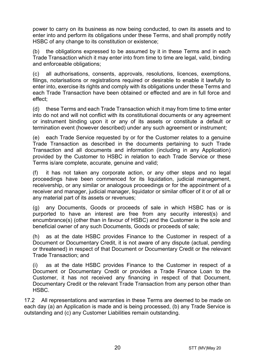power to carry on its business as now being conducted, to own its assets and to enter into and perform its obligations under these Terms, and shall promptly notify HSBC of any change to its constitution or existence;

(b) the obligations expressed to be assumed by it in these Terms and in each Trade Transaction which it may enter into from time to time are legal, valid, binding and enforceable obligations;

(c) all authorisations, consents, approvals, resolutions, licences, exemptions, filings, notarisations or registrations required or desirable to enable it lawfully to enter into, exercise its rights and comply with its obligations under these Terms and each Trade Transaction have been obtained or effected and are in full force and effect;

(d) these Terms and each Trade Transaction which it may from time to time enter into do not and will not conflict with its constitutional documents or any agreement or instrument binding upon it or any of its assets or constitute a default or termination event (however described) under any such agreement or instrument;

(e) each Trade Service requested by or for the Customer relates to a genuine Trade Transaction as described in the documents pertaining to such Trade Transaction and all documents and information (including in any Application) provided by the Customer to HSBC in relation to each Trade Service or these Terms is/are complete, accurate, genuine and valid;

(f) it has not taken any corporate action, or any other steps and no legal proceedings have been commenced for its liquidation, judicial management, receivership, or any similar or analogous proceedings or for the appointment of a receiver and manager, judicial manager, liquidator or similar officer of it or of all or any material part of its assets or revenues;

(g) any Documents, Goods or proceeds of sale in which HSBC has or is purported to have an interest are free from any security interest(s) and encumbrance(s) (other than in favour of HSBC) and the Customer is the sole and beneficial owner of any such Documents, Goods or proceeds of sale;

(h) as at the date HSBC provides Finance to the Customer in respect of a Document or Documentary Credit, it is not aware of any dispute (actual, pending or threatened) in respect of that Document or Documentary Credit or the relevant Trade Transaction; and

(i) as at the date HSBC provides Finance to the Customer in respect of a Document or Documentary Credit or provides a Trade Finance Loan to the Customer, it has not received any financing in respect of that Document, Documentary Credit or the relevant Trade Transaction from any person other than HSBC.

17.2 All representations and warranties in these Terms are deemed to be made on each day (a) an Application is made and is being processed, (b) any Trade Service is outstanding and (c) any Customer Liabilities remain outstanding.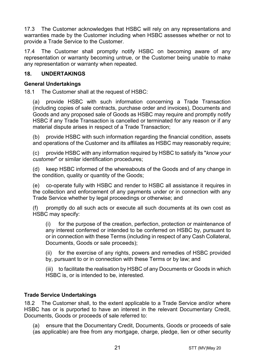17.3 The Customer acknowledges that HSBC will rely on any representations and warranties made by the Customer including when HSBC assesses whether or not to provide a Trade Service to the Customer.

17.4 The Customer shall promptly notify HSBC on becoming aware of any representation or warranty becoming untrue, or the Customer being unable to make any representation or warranty when repeated.

## **18. UNDERTAKINGS**

## **General Undertakings**

18.1 The Customer shall at the request of HSBC:

(a) provide HSBC with such information concerning a Trade Transaction (including copies of sale contracts, purchase order and invoices), Documents and Goods and any proposed sale of Goods as HSBC may require and promptly notify HSBC if any Trade Transaction is cancelled or terminated for any reason or if any material dispute arises in respect of a Trade Transaction;

(b) provide HSBC with such information regarding the financial condition, assets and operations of the Customer and its affiliates as HSBC may reasonably require;

(c) provide HSBC with any information required by HSBC to satisfy its "*know your customer*" or similar identification procedures;

(d) keep HSBC informed of the whereabouts of the Goods and of any change in the condition, quality or quantity of the Goods;

(e) co-operate fully with HSBC and render to HSBC all assistance it requires in the collection and enforcement of any payments under or in connection with any Trade Service whether by legal proceedings or otherwise; and

(f) promptly do all such acts or execute all such documents at its own cost as HSBC may specify:

(i) for the purpose of the creation, perfection, protection or maintenance of any interest conferred or intended to be conferred on HSBC by, pursuant to or in connection with these Terms (including in respect of any Cash Collateral, Documents, Goods or sale proceeds);

(ii) for the exercise of any rights, powers and remedies of HSBC provided by, pursuant to or in connection with these Terms or by law; and

(iii) to facilitate the realisation by HSBC of any Documents or Goods in which HSBC is, or is intended to be, interested.

## **Trade Service Undertakings**

18.2 The Customer shall, to the extent applicable to a Trade Service and/or where HSBC has or is purported to have an interest in the relevant Documentary Credit, Documents, Goods or proceeds of sale referred to:

(a) ensure that the Documentary Credit, Documents, Goods or proceeds of sale (as applicable) are free from any mortgage, charge, pledge, lien or other security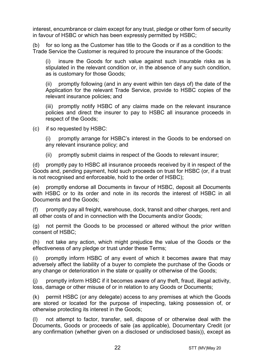interest, encumbrance or claim except for any trust, pledge or other form of security in favour of HSBC or which has been expressly permitted by HSBC;

(b) for so long as the Customer has title to the Goods or if as a condition to the Trade Service the Customer is required to procure the insurance of the Goods:

(i) insure the Goods for such value against such insurable risks as is stipulated in the relevant condition or, in the absence of any such condition, as is customary for those Goods;

(ii) promptly following (and in any event within ten days of) the date of the Application for the relevant Trade Service, provide to HSBC copies of the relevant insurance policies; and

(iii) promptly notify HSBC of any claims made on the relevant insurance policies and direct the insurer to pay to HSBC all insurance proceeds in respect of the Goods;

(c) if so requested by HSBC:

(i) promptly arrange for HSBC's interest in the Goods to be endorsed on any relevant insurance policy; and

(ii) promptly submit claims in respect of the Goods to relevant insurer;

(d) promptly pay to HSBC all insurance proceeds received by it in respect of the Goods and, pending payment, hold such proceeds on trust for HSBC (or, if a trust is not recognised and enforceable, hold to the order of HSBC);

(e) promptly endorse all Documents in favour of HSBC, deposit all Documents with HSBC or to its order and note in its records the interest of HSBC in all Documents and the Goods;

(f) promptly pay all freight, warehouse, dock, transit and other charges, rent and all other costs of and in connection with the Documents and/or Goods;

(g) not permit the Goods to be processed or altered without the prior written consent of HSBC;

(h) not take any action, which might prejudice the value of the Goods or the effectiveness of any pledge or trust under these Terms;

(i) promptly inform HSBC of any event of which it becomes aware that may adversely affect the liability of a buyer to complete the purchase of the Goods or any change or deterioration in the state or quality or otherwise of the Goods;

(j) promptly inform HSBC if it becomes aware of any theft, fraud, illegal activity, loss, damage or other misuse of or in relation to any Goods or Documents;

(k) permit HSBC (or any delegate) access to any premises at which the Goods are stored or located for the purpose of inspecting, taking possession of, or otherwise protecting its interest in the Goods;

(l) not attempt to factor, transfer, sell, dispose of or otherwise deal with the Documents, Goods or proceeds of sale (as applicable), Documentary Credit (or any confirmation (whether given on a disclosed or undisclosed basis)), except as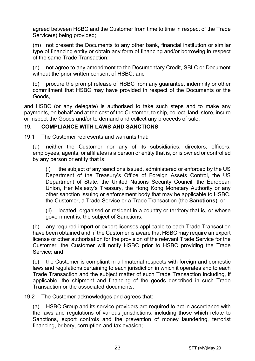agreed between HSBC and the Customer from time to time in respect of the Trade Service(s) being provided;

(m) not present the Documents to any other bank, financial institution or similar type of financing entity or obtain any form of financing and/or borrowing in respect of the same Trade Transaction;

(n) not agree to any amendment to the Documentary Credit, SBLC or Document without the prior written consent of HSBC; and

(o) procure the prompt release of HSBC from any guarantee, indemnity or other commitment that HSBC may have provided in respect of the Documents or the Goods,

and HSBC (or any delegate) is authorised to take such steps and to make any payments, on behalf and at the cost of the Customer, to ship, collect, land, store, insure or inspect the Goods and/or to demand and collect any proceeds of sale.

## **19. COMPLIANCE WITH LAWS AND SANCTIONS**

19.1 The Customer represents and warrants that:

(a) neither the Customer nor any of its subsidiaries, directors, officers, employees, agents, or affiliates is a person or entity that is, or is owned or controlled by any person or entity that is:

(i) the subject of any sanctions issued, administered or enforced by the US Department of the Treasury's Office of Foreign Assets Control, the US Department of State, the United Nations Security Council, the European Union, Her Majesty's Treasury, the Hong Kong Monetary Authority or any other sanction issuing or enforcement body that may be applicable to HSBC, the Customer, a Trade Service or a Trade Transaction (the **Sanctions**); or

(ii) located, organised or resident in a country or territory that is, or whose government is, the subject of Sanctions;

(b) any required import or export licenses applicable to each Trade Transaction have been obtained and, if the Customer is aware that HSBC may require an export license or other authorisation for the provision of the relevant Trade Service for the Customer, the Customer will notify HSBC prior to HSBC providing the Trade Service; and

(c) the Customer is compliant in all material respects with foreign and domestic laws and regulations pertaining to each jurisdiction in which it operates and to each Trade Transaction and the subject matter of such Trade Transaction including, if applicable, the shipment and financing of the goods described in such Trade Transaction or the associated documents.

19.2 The Customer acknowledges and agrees that:

(a) HSBC Group and its service providers are required to act in accordance with the laws and regulations of various jurisdictions, including those which relate to Sanctions, export controls and the prevention of money laundering, terrorist financing, bribery, corruption and tax evasion;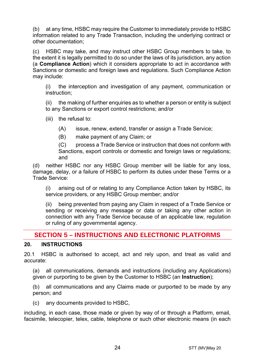(b) at any time, HSBC may require the Customer to immediately provide to HSBC information related to any Trade Transaction, including the underlying contract or other documentation;

(c) HSBC may take, and may instruct other HSBC Group members to take, to the extent it is legally permitted to do so under the laws of its jurisdiction, any action (a **Compliance Action**) which it considers appropriate to act in accordance with Sanctions or domestic and foreign laws and regulations. Such Compliance Action may include:

(i) the interception and investigation of any payment, communication or instruction;

(ii) the making of further enquiries as to whether a person or entity is subject to any Sanctions or export control restrictions; and/or

(iii) the refusal to:

(A) issue, renew, extend, transfer or assign a Trade Service;

(B) make payment of any Claim; or

(C) process a Trade Service or instruction that does not conform with Sanctions, export controls or domestic and foreign laws or regulations; and

(d) neither HSBC nor any HSBC Group member will be liable for any loss, damage, delay, or a failure of HSBC to perform its duties under these Terms or a Trade Service:

(i) arising out of or relating to any Compliance Action taken by HSBC, its service providers, or any HSBC Group member; and/or

(ii) being prevented from paying any Claim in respect of a Trade Service or sending or receiving any message or data or taking any other action in connection with any Trade Service because of an applicable law, regulation or ruling of any governmental agency.

# **SECTION 5 – INSTRUCTIONS AND ELECTRONIC PLATFORMS**

## **20. INSTRUCTIONS**

20.1 HSBC is authorised to accept, act and rely upon, and treat as valid and accurate:

(a) all communications, demands and instructions (including any Applications) given or purporting to be given by the Customer to HSBC (an **Instruction**);

(b) all communications and any Claims made or purported to be made by any person; and

(c) any documents provided to HSBC,

including, in each case, those made or given by way of or through a Platform, email, facsimile, telecopier, telex, cable, telephone or such other electronic means (in each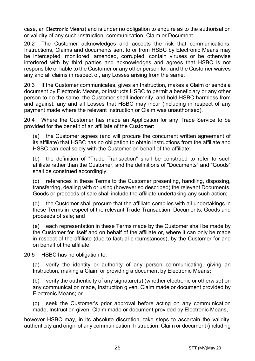case, an Electronic Means) and is under no obligation to enquire as to the authorisation or validity of any such Instruction, communication, Claim or Document.

20.2 The Customer acknowledges and accepts the risk that communications, Instructions, Claims and documents sent to or from HSBC by Electronic Means may be intercepted, monitored, amended, corrupted, contain viruses or be otherwise interfered with by third parties and acknowledges and agrees that HSBC is not responsible or liable to the Customer or any other person for, and the Customer waives any and all claims in respect of, any Losses arising from the same.

20.3 If the Customer communicates, gives an Instruction, makes a Claim or sends a document by Electronic Means, or instructs HSBC to permit a beneficiary or any other person to do the same, the Customer shall indemnify, and hold HSBC harmless from and against, any and all Losses that HSBC may incur (including in respect of any payment made where the relevant Instruction or Claim was unauthorised).

20.4 Where the Customer has made an Application for any Trade Service to be provided for the benefit of an affiliate of the Customer:

(a) the Customer agrees (and will procure the concurrent written agreement of its affiliate) that HSBC has no obligation to obtain instructions from the affiliate and HSBC can deal solely with the Customer on behalf of the affiliate;

(b) the definition of "Trade Transaction" shall be construed to refer to such affiliate rather than the Customer, and the definitions of "Documents" and "Goods" shall be construed accordingly;

(c) references in these Terms to the Customer presenting, handling, disposing, transferring, dealing with or using (however so described) the relevant Documents, Goods or proceeds of sale shall include the affiliate undertaking any such action;

(d) the Customer shall procure that the affiliate complies with all undertakings in these Terms in respect of the relevant Trade Transaction, Documents, Goods and proceeds of sale; and

(e) each representation in these Terms made by the Customer shall be made by the Customer for itself and on behalf of the affiliate or, where it can only be made in respect of the affiliate (due to factual circumstances), by the Customer for and on behalf of the affiliate.

20.5 HSBC has no obligation to:

(a) verify the identity or authority of any person communicating, giving an Instruction, making a Claim or providing a document by Electronic Means**;**

(b) verify the authenticity of any signature(s) (whether electronic or otherwise) on any communication made, Instruction given, Claim made or document provided by Electronic Means; or

(c) seek the Customer's prior approval before acting on any communication made, Instruction given, Claim made or document provided by Electronic Means,

however HSBC may, in its absolute discretion, take steps to ascertain the validity, authenticity and origin of any communication, Instruction, Claim or document (including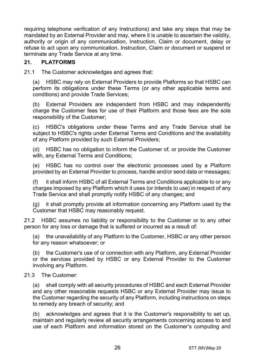requiring telephone verification of any Instructions) and take any steps that may be mandated by an External Provider and may, where it is unable to ascertain the validity, authority or origin of any communication, Instruction, Claim or document, delay or refuse to act upon any communication, Instruction, Claim or document or suspend or terminate any Trade Service at any time.

## **21. PLATFORMS**

21.1 The Customer acknowledges and agrees that:

(a) HSBC may rely on External Providers to provide Platforms so that HSBC can perform its obligations under these Terms (or any other applicable terms and conditions) and provide Trade Services;

(b) External Providers are independent from HSBC and may independently charge the Customer fees for use of their Platform and those fees are the sole responsibility of the Customer;

(c) HSBC's obligations under these Terms and any Trade Service shall be subject to HSBC's rights under External Terms and Conditions and the availability of any Platform provided by such External Providers;

(d) HSBC has no obligation to inform the Customer of, or provide the Customer with, any External Terms and Conditions;

(e) HSBC has no control over the electronic processes used by a Platform provided by an External Provider to process, handle and/or send data or messages;

(f) it shall inform HSBC of all External Terms and Conditions applicable to or any charges imposed by any Platform which it uses (or intends to use) in respect of any Trade Service and shall promptly notify HSBC of any changes; and

(g) it shall promptly provide all information concerning any Platform used by the Customer that HSBC may reasonably request.

21.2 HSBC assumes no liability or responsibility to the Customer or to any other person for any loss or damage that is suffered or incurred as a result of:

(a) the unavailability of any Platform to the Customer, HSBC or any other person for any reason whatsoever; or

(b) the Customer's use of or connection with any Platform, any External Provider or the services provided by HSBC or any External Provider to the Customer involving any Platform.

#### 21.3 The Customer:

(a) shall comply with all security procedures of HSBC and each External Provider and any other reasonable requests HSBC or any External Provider may issue to the Customer regarding the security of any Platform, including instructions on steps to remedy any breach of security; and

(b) acknowledges and agrees that it is the Customer's responsibility to set up, maintain and regularly review all security arrangements concerning access to and use of each Platform and information stored on the Customer's computing and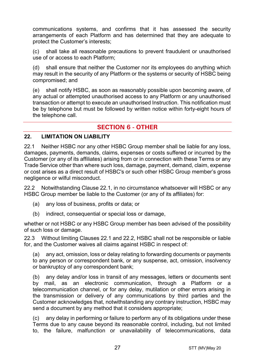communications systems, and confirms that it has assessed the security arrangements of each Platform and has determined that they are adequate to protect the Customer's interests;

(c) shall take all reasonable precautions to prevent fraudulent or unauthorised use of or access to each Platform;

(d) shall ensure that neither the Customer nor its employees do anything which may result in the security of any Platform or the systems or security of HSBC being compromised; and

(e) shall notify HSBC, as soon as reasonably possible upon becoming aware, of any actual or attempted unauthorised access to any Platform or any unauthorised transaction or attempt to execute an unauthorised Instruction. This notification must be by telephone but must be followed by written notice within forty-eight hours of the telephone call.

# **SECTION 6 - OTHER**

#### **22. LIMITATION ON LIABILITY**

22.1 Neither HSBC nor any other HSBC Group member shall be liable for any loss, damages, payments, demands, claims, expenses or costs suffered or incurred by the Customer (or any of its affiliates) arising from or in connection with these Terms or any Trade Service other than where such loss, damage, payment, demand, claim, expense or cost arises as a direct result of HSBC's or such other HSBC Group member's gross negligence or wilful misconduct.

22.2 Notwithstanding Clause 22.1, in no circumstance whatsoever will HSBC or any HSBC Group member be liable to the Customer (or any of its affiliates) for:

- (a) any loss of business, profits or data; or
- (b) indirect, consequential or special loss or damage,

whether or not HSBC or any HSBC Group member has been advised of the possibility of such loss or damage.

22.3 Without limiting Clauses 22.1 and 22.2, HSBC shall not be responsible or liable for, and the Customer waives all claims against HSBC in respect of:

(a) any act, omission, loss or delay relating to forwarding documents or payments to any person or correspondent bank, or any suspense, act, omission, insolvency or bankruptcy of any correspondent bank;

(b) any delay and/or loss in transit of any messages, letters or documents sent by mail, as an electronic communication, through a Platform or a telecommunication channel, or for any delay, mutilation or other errors arising in the transmission or delivery of any communications by third parties and the Customer acknowledges that, notwithstanding any contrary instruction, HSBC may send a document by any method that it considers appropriate;

(c) any delay in performing or failure to perform any of its obligations under these Terms due to any cause beyond its reasonable control, including, but not limited to, the failure, malfunction or unavailability of telecommunications, data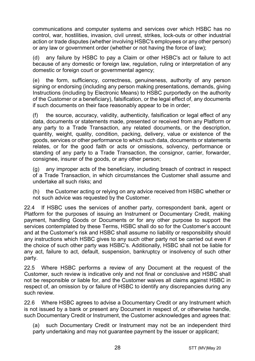communications and computer systems and services over which HSBC has no control, war, hostilities, invasion, civil unrest, strikes, lock-outs or other industrial action or trade disputes (whether involving HSBC's employees or any other person) or any law or government order (whether or not having the force of law);

(d) any failure by HSBC to pay a Claim or other HSBC's act or failure to act because of any domestic or foreign law, regulation, ruling or interpretation of any domestic or foreign court or governmental agency;

(e) the form, sufficiency, correctness, genuineness, authority of any person signing or endorsing (including any person making presentations, demands, giving Instructions (including by Electronic Means) to HSBC purportedly on the authority of the Customer or a beneficiary), falsification, or the legal effect of, any documents if such documents on their face reasonably appear to be in order;

(f) the source, accuracy, validity, authenticity, falsification or legal effect of any data, documents or statements made, presented or received from any Platform or any party to a Trade Transaction, any related documents, or the description, quantity, weight, quality, condition, packing, delivery, value or existence of the goods, services or other performance to which such data, documents or statements relates, or for the good faith or acts or omissions, solvency, performance or standing of any party to a Trade Transaction, the consignor, carrier, forwarder, consignee, insurer of the goods, or any other person;

(g) any improper acts of the beneficiary, including breach of contract in respect of a Trade Transaction, in which circumstances the Customer shall assume and undertake all such risks; and

(h) the Customer acting or relying on any advice received from HSBC whether or not such advice was requested by the Customer.

22.4 If HSBC uses the services of another party, correspondent bank, agent or Platform for the purposes of issuing an Instrument or Documentary Credit, making payment, handling Goods or Documents or for any other purpose to support the services contemplated by these Terms, HSBC shall do so for the Customer's account and at the Customer's risk and HSBC shall assume no liability or responsibility should any instructions which HSBC gives to any such other party not be carried out even if the choice of such other party was HSBC's. Additionally, HSBC shall not be liable for any act, failure to act, default, suspension, bankruptcy or insolvency of such other party.

22.5 Where HSBC performs a review of any Document at the request of the Customer, such review is indicative only and not final or conclusive and HSBC shall not be responsible or liable for, and the Customer waives all claims against HSBC in respect of, an omission by or failure of HSBC to identify any discrepancies during any such review.

22.6 Where HSBC agrees to advise a Documentary Credit or any Instrument which is not issued by a bank or present any Document in respect of, or otherwise handle, such Documentary Credit or Instrument, the Customer acknowledges and agrees that:

(a) such Documentary Credit or Instrument may not be an independent third party undertaking and may not guarantee payment by the issuer or applicant;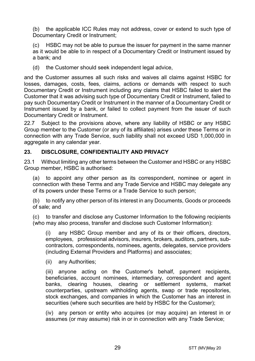(b) the applicable ICC Rules may not address, cover or extend to such type of Documentary Credit or Instrument;

(c) HSBC may not be able to pursue the issuer for payment in the same manner as it would be able to in respect of a Documentary Credit or Instrument issued by a bank; and

(d) the Customer should seek independent legal advice,

and the Customer assumes all such risks and waives all claims against HSBC for losses, damages, costs, fees, claims, actions or demands with respect to such Documentary Credit or Instrument including any claims that HSBC failed to alert the Customer that it was advising such type of Documentary Credit or Instrument, failed to pay such Documentary Credit or Instrument in the manner of a Documentary Credit or Instrument issued by a bank, or failed to collect payment from the issuer of such Documentary Credit or Instrument.

22.7 Subject to the provisions above, where any liability of HSBC or any HSBC Group member to the Customer (or any of its affiliates) arises under these Terms or in connection with any Trade Service, such liability shall not exceed USD 1,000,000 in aggregate in any calendar year.

## **23. DISCLOSURE, CONFIDENTIALITY AND PRIVACY**

23.1 Without limiting any other terms between the Customer and HSBC or any HSBC Group member, HSBC is authorised:

(a) to appoint any other person as its correspondent, nominee or agent in connection with these Terms and any Trade Service and HSBC may delegate any of its powers under these Terms or a Trade Service to such person;

(b) to notify any other person of its interest in any Documents, Goods or proceeds of sale; and

(c) to transfer and disclose any Customer Information to the following recipients (who may also process, transfer and disclose such Customer Information):

(i) any HSBC Group member and any of its or their officers, directors, employees, professional advisors, insurers, brokers, auditors, partners, subcontractors, correspondents, nominees, agents, delegates, service providers (including External Providers and Platforms) and associates;

(ii) any Authorities;

(iii) anyone acting on the Customer's behalf, payment recipients, beneficiaries, account nominees, intermediary, correspondent and agent banks, clearing houses, clearing or settlement systems, market counterparties, upstream withholding agents, swap or trade repositories, stock exchanges, and companies in which the Customer has an interest in securities (where such securities are held by HSBC for the Customer);

(iv) any person or entity who acquires (or may acquire) an interest in or assumes (or may assume) risk in or in connection with any Trade Service;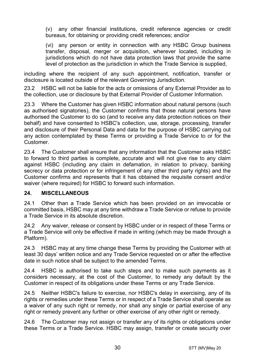(v) any other financial institutions, credit reference agencies or credit bureaus, for obtaining or providing credit references; and/or

(vi) any person or entity in connection with any HSBC Group business transfer, disposal, merger or acquisition, wherever located, including in jurisdictions which do not have data protection laws that provide the same level of protection as the jurisdiction in which the Trade Service is supplied,

including where the recipient of any such appointment, notification, transfer or disclosure is located outside of the relevant Governing Jurisdiction.

23.2 HSBC will not be liable for the acts or omissions of any External Provider as to the collection, use or disclosure by that External Provider of Customer Information.

23.3 Where the Customer has given HSBC information about natural persons (such as authorised signatories), the Customer confirms that those natural persons have authorised the Customer to do so (and to receive any data protection notices on their behalf) and have consented to HSBC's collection, use, storage, processing, transfer and disclosure of their Personal Data and data for the purpose of HSBC carrying out any action contemplated by these Terms or providing a Trade Service to or for the Customer.

23.4 The Customer shall ensure that any information that the Customer asks HSBC to forward to third parties is complete, accurate and will not give rise to any claim against HSBC (including any claim in defamation, in relation to privacy, banking secrecy or data protection or for infringement of any other third party rights) and the Customer confirms and represents that it has obtained the requisite consent and/or waiver (where required) for HSBC to forward such information.

## **24. MISCELLANEOUS**

24.1 Other than a Trade Service which has been provided on an irrevocable or committed basis, HSBC may at any time withdraw a Trade Service or refuse to provide a Trade Service in its absolute discretion.

24.2 Any waiver, release or consent by HSBC under or in respect of these Terms or a Trade Service will only be effective if made in writing (which may be made through a Platform).

24.3 HSBC may at any time change these Terms by providing the Customer with at least 30 days' written notice and any Trade Service requested on or after the effective date in such notice shall be subject to the amended Terms.

24.4 HSBC is authorised to take such steps and to make such payments as it considers necessary, at the cost of the Customer, to remedy any default by the Customer in respect of its obligations under these Terms or any Trade Service.

24.5 Neither HSBC's failure to exercise, nor HSBC's delay in exercising, any of its rights or remedies under these Terms or in respect of a Trade Service shall operate as a waiver of any such right or remedy, nor shall any single or partial exercise of any right or remedy prevent any further or other exercise of any other right or remedy.

24.6 The Customer may not assign or transfer any of its rights or obligations under these Terms or a Trade Service. HSBC may assign, transfer or create security over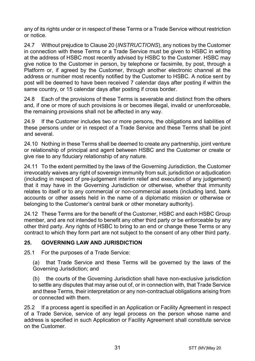any of its rights under or in respect of these Terms or a Trade Service without restriction or notice.

24.7 Without prejudice to Clause 20 (*INSTRUCTIONS*), any notices by the Customer in connection with these Terms or a Trade Service must be given to HSBC in writing at the address of HSBC most recently advised by HSBC to the Customer. HSBC may give notice to the Customer in person, by telephone or facsimile, by post, through a Platform or, if agreed by the Customer, through another electronic channel at the address or number most recently notified by the Customer to HSBC. A notice sent by post will be deemed to have been received 7 calendar days after posting if within the same country, or 15 calendar days after posting if cross border.

24.8 Each of the provisions of these Terms is severable and distinct from the others and, if one or more of such provisions is or becomes illegal, invalid or unenforceable, the remaining provisions shall not be affected in any way.

24.9 If the Customer includes two or more persons, the obligations and liabilities of these persons under or in respect of a Trade Service and these Terms shall be joint and several.

24.10 Nothing in these Terms shall be deemed to create any partnership, joint venture or relationship of principal and agent between HSBC and the Customer or create or give rise to any fiduciary relationship of any nature.

24.11 To the extent permitted by the laws of the Governing Jurisdiction, the Customer irrevocably waives any right of sovereign immunity from suit, jurisdiction or adjudication (including in respect of pre-judgement interim relief and execution of any judgement) that it may have in the Governing Jurisdiction or otherwise, whether that immunity relates to itself or to any commercial or non-commercial assets (including land, bank accounts or other assets held in the name of a diplomatic mission or otherwise or belonging to the Customer's central bank or other monetary authority).

24.12 These Terms are for the benefit of the Customer, HSBC and each HSBC Group member, and are not intended to benefit any other third party or be enforceable by any other third party. Any rights of HSBC to bring to an end or change these Terms or any contract to which they form part are not subject to the consent of any other third party.

## **25. GOVERNING LAW AND JURISDICTION**

25.1 For the purposes of a Trade Service:

(a) that Trade Service and these Terms will be governed by the laws of the Governing Jurisdiction; and

(b) the courts of the Governing Jurisdiction shall have non-exclusive jurisdiction to settle any disputes that may arise out of, or in connection with, that Trade Service and these Terms, their interpretation or any non-contractual obligations arising from or connected with them.

25.2 If a process agent is specified in an Application or Facility Agreement in respect of a Trade Service, service of any legal process on the person whose name and address is specified in such Application or Facility Agreement shall constitute service on the Customer.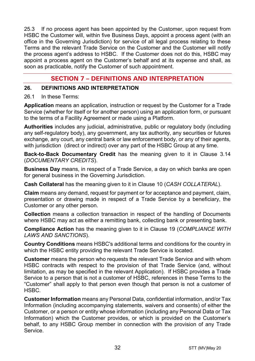25.3 If no process agent has been appointed by the Customer, upon request from HSBC the Customer will, within five Business Days, appoint a process agent (with an office in the Governing Jurisdiction) for service of all legal process relating to these Terms and the relevant Trade Service on the Customer and the Customer will notify the process agent's address to HSBC. If the Customer does not do this, HSBC may appoint a process agent on the Customer's behalf and at its expense and shall, as soon as practicable, notify the Customer of such appointment.

# **SECTION 7 – DEFINITIONS AND INTERPRETATION**

#### **26. DEFINITIONS AND INTERPRETATION**

#### 26.1 In these Terms:

**Application** means an application, instruction or request by the Customer for a Trade Service (whether for itself or for another person) using an application form, or pursuant to the terms of a Facility Agreement or made using a Platform.

**Authorities** includes any judicial, administrative, public or regulatory body (including any self-regulatory body), any government, any tax authority, any securities or futures exchange, any court, any central bank or law enforcement body, or any of their agents, with jurisdiction (direct or indirect) over any part of the HSBC Group at any time.

**Back-to-Back Documentary Credit** has the meaning given to it in Clause 3.14 (*DOCUMENTARY CREDITS*).

**Business Day** means, in respect of a Trade Service, a day on which banks are open for general business in the Governing Jurisdiction.

**Cash Collateral** has the meaning given to it in Clause 10 (*CASH COLLATERAL*).

**Claim** means any demand, request for payment or for acceptance and payment, claim, presentation or drawing made in respect of a Trade Service by a beneficiary, the Customer or any other person.

**Collection** means a collection transaction in respect of the handling of Documents where HSBC may act as either a remitting bank, collecting bank or presenting bank.

**Compliance Action** has the meaning given to it in Clause 19 (*COMPLIANCE WITH LAWS AND SANCTIONS*).

**Country Conditions** means HSBC's additional terms and conditions for the country in which the HSBC entity providing the relevant Trade Service is located.

**Customer** means the person who requests the relevant Trade Service and with whom HSBC contracts with respect to the provision of that Trade Service (and, without limitation, as may be specified in the relevant Application). If HSBC provides a Trade Service to a person that is not a customer of HSBC, references in these Terms to the "Customer" shall apply to that person even though that person is not a customer of HSBC.

**Customer Information** means any Personal Data, confidential information, and/or Tax Information (including accompanying statements, waivers and consents) of either the Customer, or a person or entity whose information (including any Personal Data or Tax Information) which the Customer provides, or which is provided on the Customer's behalf, to any HSBC Group member in connection with the provision of any Trade Service.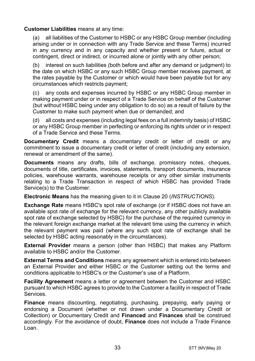#### **Customer Liabilities** means at any time:

(a) all liabilities of the Customer to HSBC or any HSBC Group member (including arising under or in connection with any Trade Service and these Terms) incurred in any currency and in any capacity and whether present or future, actual or contingent, direct or indirect, or incurred alone or jointly with any other person;

(b) interest on such liabilities (both before and after any demand or judgment) to the date on which HSBC or any such HSBC Group member receives payment, at the rates payable by the Customer or which would have been payable but for any circumstances which restricts payment;

(c) any costs and expenses incurred by HSBC or any HSBC Group member in making payment under or in respect of a Trade Service on behalf of the Customer (but without HSBC being under any obligation to do so) as a result of failure by the Customer to make such payment when due or demanded; and

(d) all costs and expenses (including legal fees on a full indemnity basis) of HSBC or any HSBC Group member in perfecting or enforcing its rights under or in respect of a Trade Service and these Terms.

**Documentary Credit** means a documentary credit or letter of credit or any commitment to issue a documentary credit or letter of credit (including any extension, renewal or amendment of the same).

**Documents** means any drafts, bills of exchange, promissory notes, cheques, documents of title, certificates, invoices, statements, transport documents, insurance policies, warehouse warrants, warehouse receipts or any other similar instruments relating to a Trade Transaction in respect of which HSBC has provided Trade Service(s) to the Customer.

**Electronic Means** has the meaning given to it in Clause 20 (*INSTRUCTIONS*).

**Exchange Rate** means HSBC's spot rate of exchange (or if HSBC does not have an available spot rate of exchange for the relevant currency, any other publicly available spot rate of exchange selected by HSBC) for the purchase of the required currency in the relevant foreign exchange market at the relevant time using the currency in which the relevant payment was paid (where any such spot rate of exchange shall be selected by HSBC acting reasonably in the circumstances).

**External Provider** means a person (other than HSBC) that makes any Platform available to HSBC and/or the Customer.

**External Terms and Conditions** means any agreement which is entered into between an External Provider and either HSBC or the Customer setting out the terms and conditions applicable to HSBC's or the Customer's use of a Platform.

**Facility Agreement** means a letter or agreement between the Customer and HSBC pursuant to which HSBC agrees to provide to the Customer a facility in respect of Trade Services.

**Finance** means discounting, negotiating, purchasing, prepaying, early paying or endorsing a Document (whether or not drawn under a Documentary Credit or Collection) or Documentary Credit and **Financed** and **Finances** shall be construed accordingly. For the avoidance of doubt, **Finance** does not include a Trade Finance Loan.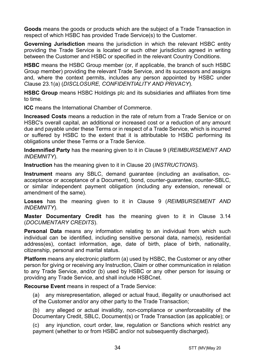**Goods** means the goods or products which are the subject of a Trade Transaction in respect of which HSBC has provided Trade Service(s) to the Customer.

**Governing Jurisdiction** means the jurisdiction in which the relevant HSBC entity providing the Trade Service is located or such other jurisdiction agreed in writing between the Customer and HSBC or specified in the relevant Country Conditions.

**HSBC** means the HSBC Group member (or, if applicable, the branch of such HSBC Group member) providing the relevant Trade Service, and its successors and assigns and, where the context permits, includes any person appointed by HSBC under Clause 23.1(a) (*DISCLOSURE, CONFIDENTIALITY AND PRIVACY*).

**HSBC Group** means HSBC Holdings plc and its subsidiaries and affiliates from time to time.

**ICC** means the International Chamber of Commerce.

**Increased Costs** means a reduction in the rate of return from a Trade Service or on HSBC's overall capital, an additional or increased cost or a reduction of any amount due and payable under these Terms or in respect of a Trade Service, which is incurred or suffered by HSBC to the extent that it is attributable to HSBC performing its obligations under these Terms or a Trade Service.

**Indemnified Party** has the meaning given to it in Clause 9 (*REIMBURSEMENT AND INDEMNITY*).

**Instruction** has the meaning given to it in Clause 20 (*INSTRUCTIONS*).

**Instrument** means any SBLC, demand guarantee (including an avalisation, coacceptance or acceptance of a Document), bond, counter-guarantee, counter-SBLC, or similar independent payment obligation (including any extension, renewal or amendment of the same).

**Losses** has the meaning given to it in Clause 9 (*REIMBURSEMENT AND INDEMNITY*).

**Master Documentary Credit** has the meaning given to it in Clause 3.14 (*DOCUMENTARY CREDITS*).

**Personal Data** means any information relating to an individual from which such individual can be identified, including sensitive personal data, name(s), residential address(es), contact information, age, date of birth, place of birth, nationality, citizenship, personal and marital status.

**Platform** means any electronic platform (a) used by HSBC, the Customer or any other person for giving or receiving any Instruction, Claim or other communication in relation to any Trade Service, and/or (b) used by HSBC or any other person for issuing or providing any Trade Service, and shall include HSBCnet.

**Recourse Event** means in respect of a Trade Service:

(a) any misrepresentation, alleged or actual fraud, illegality or unauthorised act of the Customer and/or any other party to the Trade Transaction;

(b) any alleged or actual invalidity, non-compliance or unenforceability of the Documentary Credit, SBLC, Document(s) or Trade Transaction (as applicable); or

(c) any injunction, court order, law, regulation or Sanctions which restrict any payment (whether to or from HSBC and/or not subsequently discharged).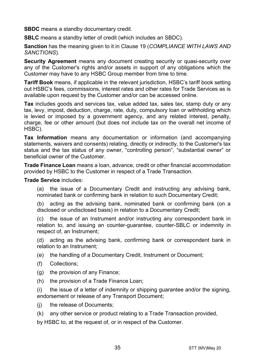**SBDC** means a standby documentary credit.

**SBLC** means a standby letter of credit (which includes an SBDC).

**Sanction** has the meaning given to it in Clause 19 (*COMPLIANCE WITH LAWS AND SANCTIONS*).

**Security Agreement** means any document creating security or quasi-security over any of the Customer's rights and/or assets in support of any obligations which the Customer may have to any HSBC Group member from time to time.

**Tariff Book** means, if applicable in the relevant jurisdiction, HSBC's tariff book setting out HSBC's fees, commissions, interest rates and other rates for Trade Services as is available upon request by the Customer and/or can be accessed online.

**Tax** includes goods and services tax, value added tax, sales tax, stamp duty or any tax, levy, impost, deduction, charge, rate, duty, compulsory loan or withholding which is levied or imposed by a government agency, and any related interest, penalty, charge, fee or other amount (but does not include tax on the overall net income of HSBC).

**Tax Information** means any documentation or information (and accompanying statements, waivers and consents) relating, directly or indirectly, to the Customer's tax status and the tax status of any owner, "controlling person", "substantial owner" or beneficial owner of the Customer.

**Trade Finance Loan** means a loan, advance, credit or other financial accommodation provided by HSBC to the Customer in respect of a Trade Transaction.

**Trade Service** includes:

(a) the issue of a Documentary Credit and instructing any advising bank, nominated bank or confirming bank in relation to such Documentary Credit;

(b) acting as the advising bank, nominated bank or confirming bank (on a disclosed or undisclosed basis) in relation to a Documentary Credit;

(c) the issue of an Instrument and/or instructing any correspondent bank in relation to, and issuing an counter-guarantee, counter-SBLC or indemnity in respect of, an Instrument;

(d) acting as the advising bank, confirming bank or correspondent bank in relation to an Instrument;

(e) the handling of a Documentary Credit, Instrument or Document;

- (f) Collections;
- (g) the provision of any Finance;
- (h) the provision of a Trade Finance Loan;

(i) the issue of a letter of indemnity or shipping guarantee and/or the signing, endorsement or release of any Transport Document;

- (j) the release of Documents;
- (k) any other service or product relating to a Trade Transaction provided,

by HSBC to, at the request of, or in respect of the Customer.